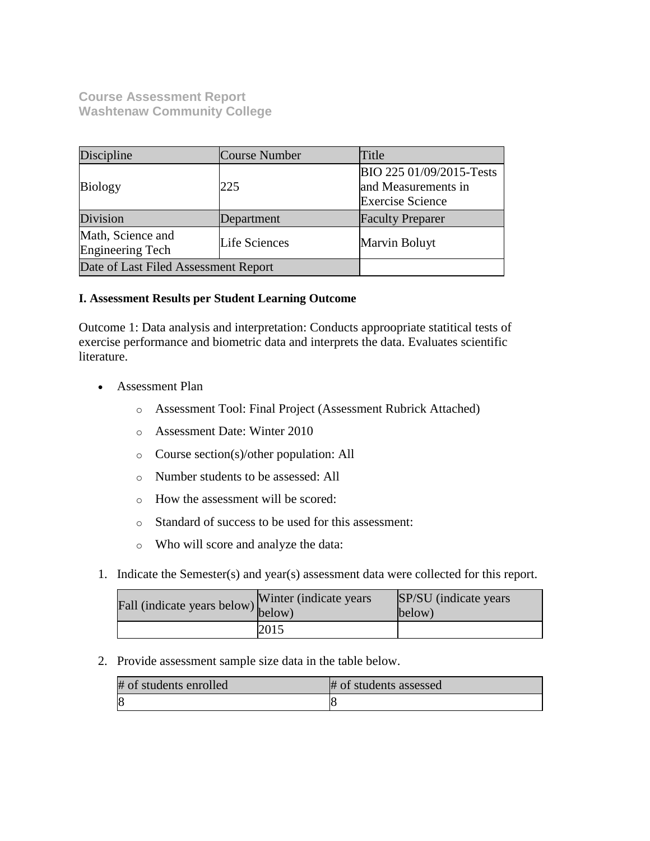**Course Assessment Report Washtenaw Community College**

| Discipline                                   | Course Number | Title                                                                      |  |
|----------------------------------------------|---------------|----------------------------------------------------------------------------|--|
| <b>Biology</b>                               | 225           | BIO 225 01/09/2015-Tests<br>and Measurements in<br><b>Exercise Science</b> |  |
| Division                                     | Department    | <b>Faculty Preparer</b>                                                    |  |
| Math, Science and<br><b>Engineering Tech</b> | Life Sciences | Marvin Boluyt                                                              |  |
| Date of Last Filed Assessment Report         |               |                                                                            |  |

## **I. Assessment Results per Student Learning Outcome**

Outcome 1: Data analysis and interpretation: Conducts approopriate statitical tests of exercise performance and biometric data and interprets the data. Evaluates scientific literature.

- Assessment Plan
	- o Assessment Tool: Final Project (Assessment Rubrick Attached)
	- o Assessment Date: Winter 2010
	- o Course section(s)/other population: All
	- o Number students to be assessed: All
	- o How the assessment will be scored:
	- o Standard of success to be used for this assessment:
	- o Who will score and analyze the data:
- 1. Indicate the Semester(s) and year(s) assessment data were collected for this report.

| Fall (indicate years below) below) | Winter (indicate years) | SP/SU (indicate years)<br>below) |
|------------------------------------|-------------------------|----------------------------------|
|                                    | 2015                    |                                  |

2. Provide assessment sample size data in the table below.

| # of students enrolled | # of students assessed |
|------------------------|------------------------|
|                        |                        |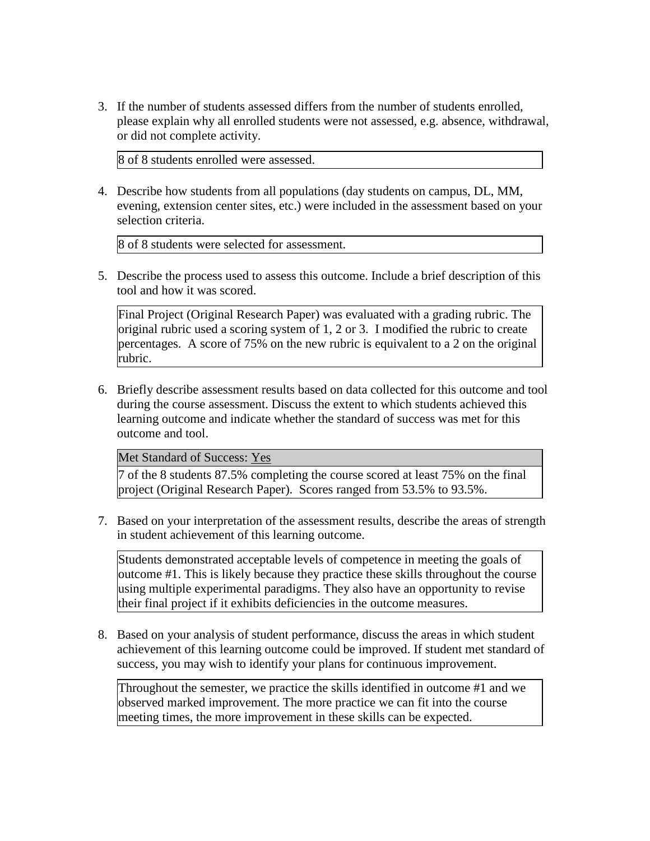3. If the number of students assessed differs from the number of students enrolled, please explain why all enrolled students were not assessed, e.g. absence, withdrawal, or did not complete activity.

8 of 8 students enrolled were assessed.

4. Describe how students from all populations (day students on campus, DL, MM, evening, extension center sites, etc.) were included in the assessment based on your selection criteria.

8 of 8 students were selected for assessment.

5. Describe the process used to assess this outcome. Include a brief description of this tool and how it was scored.

Final Project (Original Research Paper) was evaluated with a grading rubric. The original rubric used a scoring system of 1, 2 or 3. I modified the rubric to create percentages. A score of 75% on the new rubric is equivalent to a 2 on the original rubric.

6. Briefly describe assessment results based on data collected for this outcome and tool during the course assessment. Discuss the extent to which students achieved this learning outcome and indicate whether the standard of success was met for this outcome and tool.

Met Standard of Success: Yes

7 of the 8 students 87.5% completing the course scored at least 75% on the final project (Original Research Paper). Scores ranged from 53.5% to 93.5%.

7. Based on your interpretation of the assessment results, describe the areas of strength in student achievement of this learning outcome.

Students demonstrated acceptable levels of competence in meeting the goals of outcome #1. This is likely because they practice these skills throughout the course using multiple experimental paradigms. They also have an opportunity to revise their final project if it exhibits deficiencies in the outcome measures.

8. Based on your analysis of student performance, discuss the areas in which student achievement of this learning outcome could be improved. If student met standard of success, you may wish to identify your plans for continuous improvement.

Throughout the semester, we practice the skills identified in outcome #1 and we observed marked improvement. The more practice we can fit into the course meeting times, the more improvement in these skills can be expected.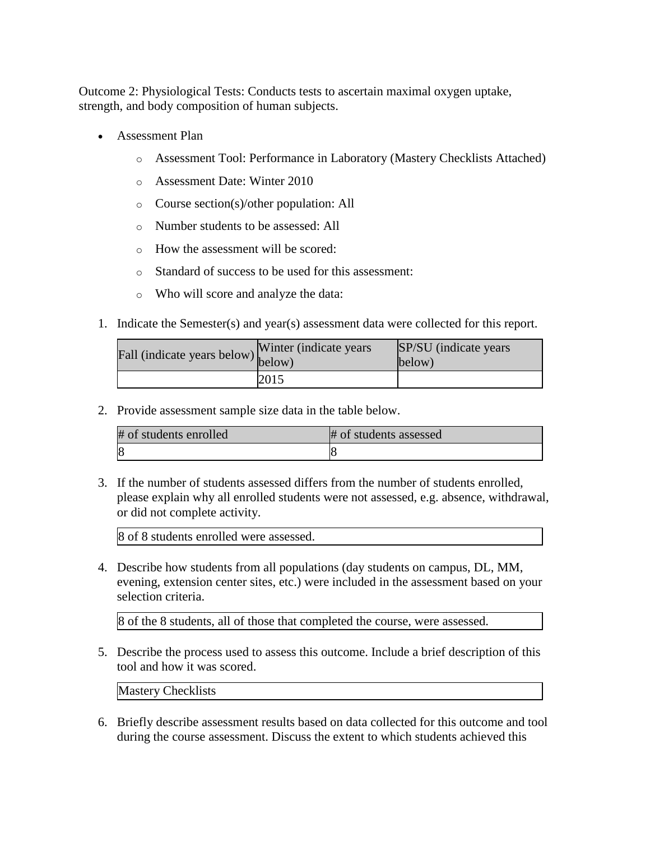Outcome 2: Physiological Tests: Conducts tests to ascertain maximal oxygen uptake, strength, and body composition of human subjects.

- Assessment Plan
	- o Assessment Tool: Performance in Laboratory (Mastery Checklists Attached)
	- o Assessment Date: Winter 2010
	- o Course section(s)/other population: All
	- o Number students to be assessed: All
	- o How the assessment will be scored:
	- o Standard of success to be used for this assessment:
	- o Who will score and analyze the data:
- 1. Indicate the Semester(s) and year(s) assessment data were collected for this report.

| Fall (indicate years below) below) | Winter (indicate years) | SP/SU (indicate years)<br>below) |
|------------------------------------|-------------------------|----------------------------------|
|                                    | 2015                    |                                  |

2. Provide assessment sample size data in the table below.

| # of students enrolled | # of students assessed |
|------------------------|------------------------|
| $\overline{\epsilon}$  |                        |

3. If the number of students assessed differs from the number of students enrolled, please explain why all enrolled students were not assessed, e.g. absence, withdrawal, or did not complete activity.

8 of 8 students enrolled were assessed.

4. Describe how students from all populations (day students on campus, DL, MM, evening, extension center sites, etc.) were included in the assessment based on your selection criteria.

8 of the 8 students, all of those that completed the course, were assessed.

5. Describe the process used to assess this outcome. Include a brief description of this tool and how it was scored.

Mastery Checklists

6. Briefly describe assessment results based on data collected for this outcome and tool during the course assessment. Discuss the extent to which students achieved this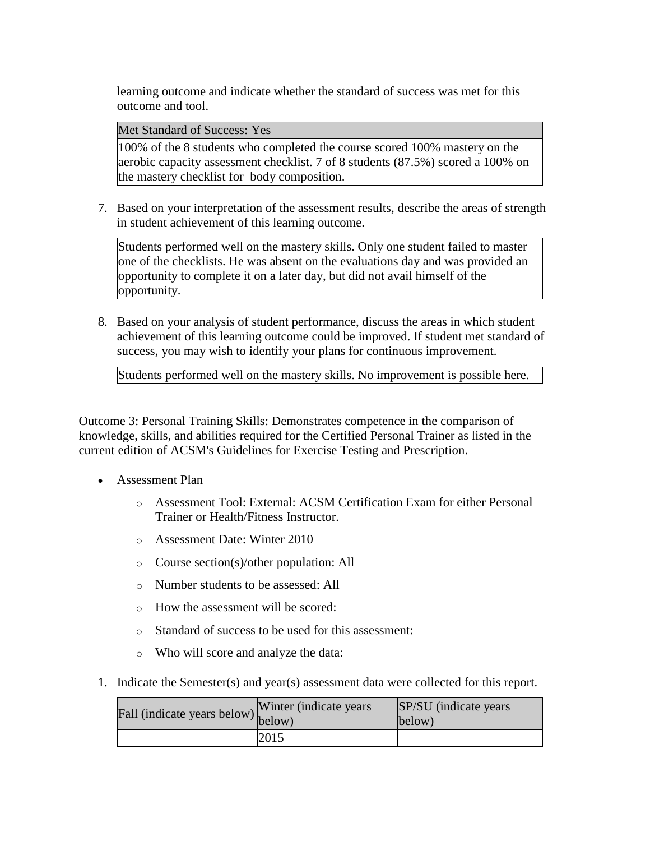learning outcome and indicate whether the standard of success was met for this outcome and tool.

Met Standard of Success: Yes

100% of the 8 students who completed the course scored 100% mastery on the aerobic capacity assessment checklist. 7 of 8 students (87.5%) scored a 100% on the mastery checklist for body composition.

7. Based on your interpretation of the assessment results, describe the areas of strength in student achievement of this learning outcome.

Students performed well on the mastery skills. Only one student failed to master one of the checklists. He was absent on the evaluations day and was provided an opportunity to complete it on a later day, but did not avail himself of the opportunity.

8. Based on your analysis of student performance, discuss the areas in which student achievement of this learning outcome could be improved. If student met standard of success, you may wish to identify your plans for continuous improvement.

Students performed well on the mastery skills. No improvement is possible here.

Outcome 3: Personal Training Skills: Demonstrates competence in the comparison of knowledge, skills, and abilities required for the Certified Personal Trainer as listed in the current edition of ACSM's Guidelines for Exercise Testing and Prescription.

- Assessment Plan
	- o Assessment Tool: External: ACSM Certification Exam for either Personal Trainer or Health/Fitness Instructor.
	- o Assessment Date: Winter 2010
	- o Course section(s)/other population: All
	- o Number students to be assessed: All
	- o How the assessment will be scored:
	- o Standard of success to be used for this assessment:
	- o Who will score and analyze the data:
- 1. Indicate the Semester(s) and year(s) assessment data were collected for this report.

| Fall (indicate years below) $\begin{bmatrix} \text{w}\text{ inner} \\ \text{below} \end{bmatrix}$ | Winter (indicate years) | SP/SU (indicate years)<br>below) |
|---------------------------------------------------------------------------------------------------|-------------------------|----------------------------------|
|                                                                                                   | 2015                    |                                  |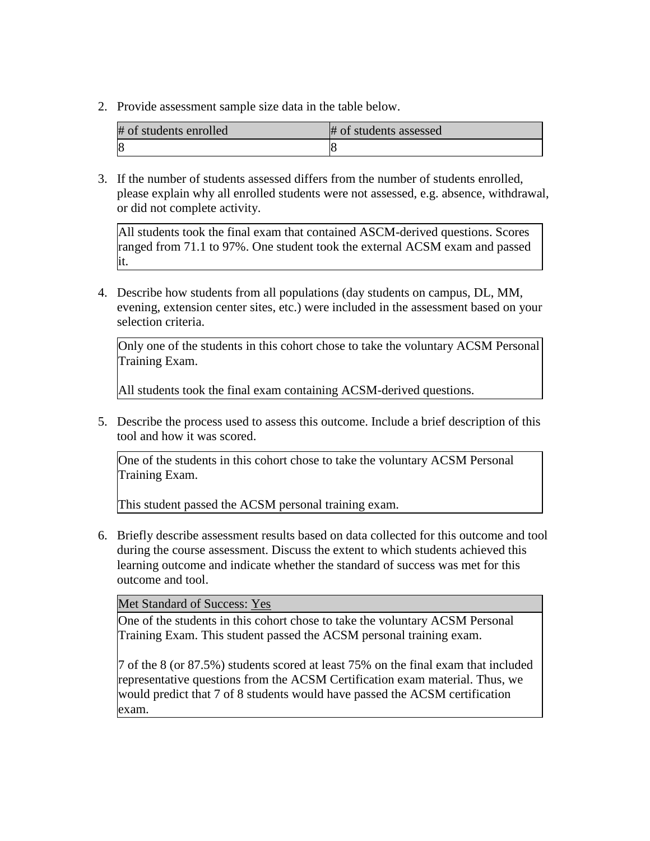2. Provide assessment sample size data in the table below.

| # of students enrolled      | # of students assessed |
|-----------------------------|------------------------|
| $\mathcal{S}_{\mathcal{S}}$ |                        |

3. If the number of students assessed differs from the number of students enrolled, please explain why all enrolled students were not assessed, e.g. absence, withdrawal, or did not complete activity.

All students took the final exam that contained ASCM-derived questions. Scores ranged from 71.1 to 97%. One student took the external ACSM exam and passed it.

4. Describe how students from all populations (day students on campus, DL, MM, evening, extension center sites, etc.) were included in the assessment based on your selection criteria.

Only one of the students in this cohort chose to take the voluntary ACSM Personal Training Exam.

All students took the final exam containing ACSM-derived questions.

5. Describe the process used to assess this outcome. Include a brief description of this tool and how it was scored.

One of the students in this cohort chose to take the voluntary ACSM Personal Training Exam.

This student passed the ACSM personal training exam.

6. Briefly describe assessment results based on data collected for this outcome and tool during the course assessment. Discuss the extent to which students achieved this learning outcome and indicate whether the standard of success was met for this outcome and tool.

## Met Standard of Success: Yes

One of the students in this cohort chose to take the voluntary ACSM Personal Training Exam. This student passed the ACSM personal training exam.

7 of the 8 (or 87.5%) students scored at least 75% on the final exam that included representative questions from the ACSM Certification exam material. Thus, we would predict that 7 of 8 students would have passed the ACSM certification exam.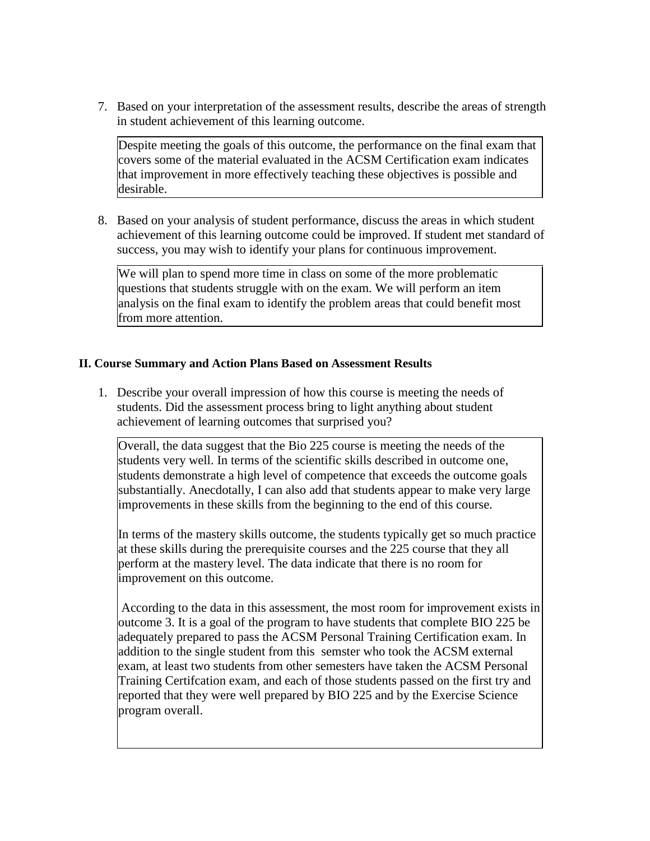7. Based on your interpretation of the assessment results, describe the areas of strength in student achievement of this learning outcome.

Despite meeting the goals of this outcome, the performance on the final exam that covers some of the material evaluated in the ACSM Certification exam indicates that improvement in more effectively teaching these objectives is possible and desirable.

8. Based on your analysis of student performance, discuss the areas in which student achievement of this learning outcome could be improved. If student met standard of success, you may wish to identify your plans for continuous improvement.

We will plan to spend more time in class on some of the more problematic questions that students struggle with on the exam. We will perform an item analysis on the final exam to identify the problem areas that could benefit most from more attention.

## **II. Course Summary and Action Plans Based on Assessment Results**

1. Describe your overall impression of how this course is meeting the needs of students. Did the assessment process bring to light anything about student achievement of learning outcomes that surprised you?

Overall, the data suggest that the Bio 225 course is meeting the needs of the students very well. In terms of the scientific skills described in outcome one, students demonstrate a high level of competence that exceeds the outcome goals substantially. Anecdotally, I can also add that students appear to make very large improvements in these skills from the beginning to the end of this course.

In terms of the mastery skills outcome, the students typically get so much practice at these skills during the prerequisite courses and the 225 course that they all perform at the mastery level. The data indicate that there is no room for improvement on this outcome.

According to the data in this assessment, the most room for improvement exists in outcome 3. It is a goal of the program to have students that complete BIO 225 be adequately prepared to pass the ACSM Personal Training Certification exam. In addition to the single student from this semster who took the ACSM external exam, at least two students from other semesters have taken the ACSM Personal Training Certifcation exam, and each of those students passed on the first try and reported that they were well prepared by BIO 225 and by the Exercise Science program overall.